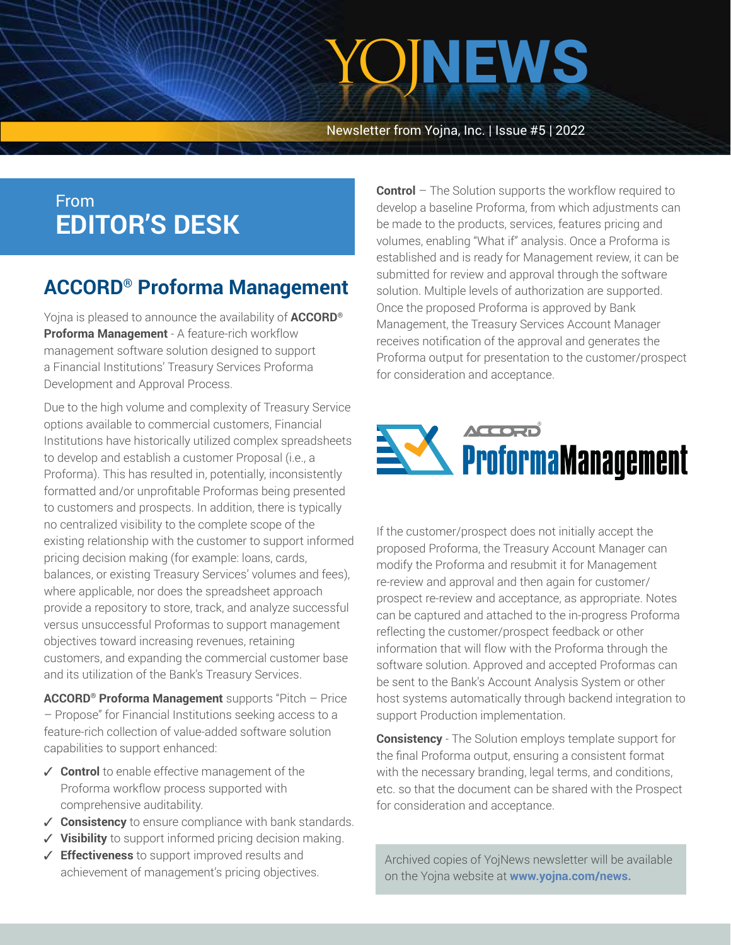# YOJNEWS

Newsletter from Yojna, Inc. | Issue #5 | 2022

### From **EDITOR'S DESK**

### **ACCORD® Proforma Management**

Yojna is pleased to announce the availability of **ACCORD® Proforma Management** - A feature-rich workflow management software solution designed to support a Financial Institutions' Treasury Services Proforma Development and Approval Process.

Due to the high volume and complexity of Treasury Service options available to commercial customers, Financial Institutions have historically utilized complex spreadsheets to develop and establish a customer Proposal (i.e., a Proforma). This has resulted in, potentially, inconsistently formatted and/or unprofitable Proformas being presented to customers and prospects. In addition, there is typically no centralized visibility to the complete scope of the existing relationship with the customer to support informed pricing decision making (for example: loans, cards, balances, or existing Treasury Services' volumes and fees), where applicable, nor does the spreadsheet approach provide a repository to store, track, and analyze successful versus unsuccessful Proformas to support management objectives toward increasing revenues, retaining customers, and expanding the commercial customer base and its utilization of the Bank's Treasury Services.

**ACCORD® Proforma Management** supports "Pitch – Price – Propose" for Financial Institutions seeking access to a feature-rich collection of value-added software solution capabilities to support enhanced:

- **Control** to enable effective management of the Proforma workflow process supported with comprehensive auditability.
- **✓ Consistency** to ensure compliance with bank standards.
- **Visibility** to support informed pricing decision making.
- **Effectiveness** to support improved results and achievement of management's pricing objectives.

**Control** – The Solution supports the workflow required to develop a baseline Proforma, from which adjustments can be made to the products, services, features pricing and volumes, enabling "What if" analysis. Once a Proforma is established and is ready for Management review, it can be submitted for review and approval through the software solution. Multiple levels of authorization are supported. Once the proposed Proforma is approved by Bank Management, the Treasury Services Account Manager receives notification of the approval and generates the Proforma output for presentation to the customer/prospect for consideration and acceptance.



If the customer/prospect does not initially accept the proposed Proforma, the Treasury Account Manager can modify the Proforma and resubmit it for Management re-review and approval and then again for customer/ prospect re-review and acceptance, as appropriate. Notes can be captured and attached to the in-progress Proforma reflecting the customer/prospect feedback or other information that will flow with the Proforma through the software solution. Approved and accepted Proformas can be sent to the Bank's Account Analysis System or other host systems automatically through backend integration to support Production implementation.

**Consistency** - The Solution employs template support for the final Proforma output, ensuring a consistent format with the necessary branding, legal terms, and conditions, etc. so that the document can be shared with the Prospect for consideration and acceptance.

Archived copies of YojNews newsletter will be available on the Yojna website at **[www.yojna.com/news.](https://www.yojna.com/news.html)**